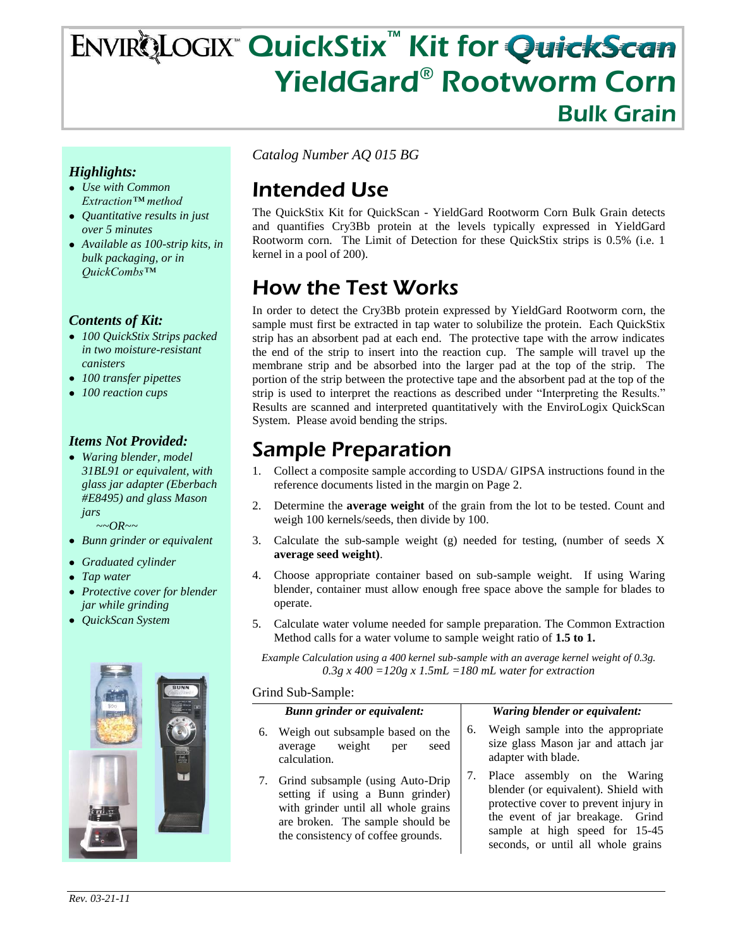# ENVIRQLOGIX™ QuickStix™ Kit for QuickScan YieldGard® Rootworm Corn Bulk Grain

### *Highlights:*

- *Use with Common Extraction™ method*
- *Quantitative results in just over 5 minutes*
- *Available as 100-strip kits, in bulk packaging, or in QuickCombs™*

#### *Contents of Kit:*

- *100 QuickStix Strips packed in two moisture-resistant canisters*
- *100 transfer pipettes*
- *100 reaction cups*

### *Items Not Provided:*

*Waring blender, model 31BL91 or equivalent, with glass jar adapter (Eberbach #E8495) and glass Mason jars*

 *~~OR~~*

- *Bunn grinder or equivalent*
- *Graduated cylinder*
- *Tap water*
- *Protective cover for blender jar while grinding*
- *QuickScan System*



*Catalog Number AQ 015 BG*

# Intended Use

The QuickStix Kit for QuickScan - YieldGard Rootworm Corn Bulk Grain detects and quantifies Cry3Bb protein at the levels typically expressed in YieldGard Rootworm corn. The Limit of Detection for these QuickStix strips is 0.5% (i.e. 1 kernel in a pool of 200).

# How the Test Works

In order to detect the Cry3Bb protein expressed by YieldGard Rootworm corn, the sample must first be extracted in tap water to solubilize the protein. Each QuickStix strip has an absorbent pad at each end. The protective tape with the arrow indicates the end of the strip to insert into the reaction cup. The sample will travel up the membrane strip and be absorbed into the larger pad at the top of the strip. The portion of the strip between the protective tape and the absorbent pad at the top of the strip is used to interpret the reactions as described under "Interpreting the Results." Results are scanned and interpreted quantitatively with the EnviroLogix QuickScan System. Please avoid bending the strips.

### Sample Preparation

- 1. Collect a composite sample according to USDA/ GIPSA instructions found in the reference documents listed in the margin on Page 2.
- 2. Determine the **average weight** of the grain from the lot to be tested. Count and weigh 100 kernels/seeds, then divide by 100.
- 3. Calculate the sub-sample weight (g) needed for testing, (number of seeds X **average seed weight)**.
- 4. Choose appropriate container based on sub-sample weight. If using Waring blender, container must allow enough free space above the sample for blades to operate.
- 5. Calculate water volume needed for sample preparation. The Common Extraction Method calls for a water volume to sample weight ratio of **1.5 to 1.**

*Example Calculation using a 400 kernel sub-sample with an average kernel weight of 0.3g. 0.3g x 400 =120g x 1.5mL =180 mL water for extraction*

#### Grind Sub-Sample:

#### *Bunn grinder or equivalent:*

- 6. Weigh out subsample based on the average weight per seed calculation.
- 7. Grind subsample (using Auto-Drip setting if using a Bunn grinder) with grinder until all whole grains are broken. The sample should be the consistency of coffee grounds.

#### *Waring blender or equivalent:*

- 6. Weigh sample into the appropriate size glass Mason jar and attach jar adapter with blade.
- 7. Place assembly on the Waring blender (or equivalent). Shield with protective cover to prevent injury in the event of jar breakage. Grind sample at high speed for 15-45 seconds, or until all whole grains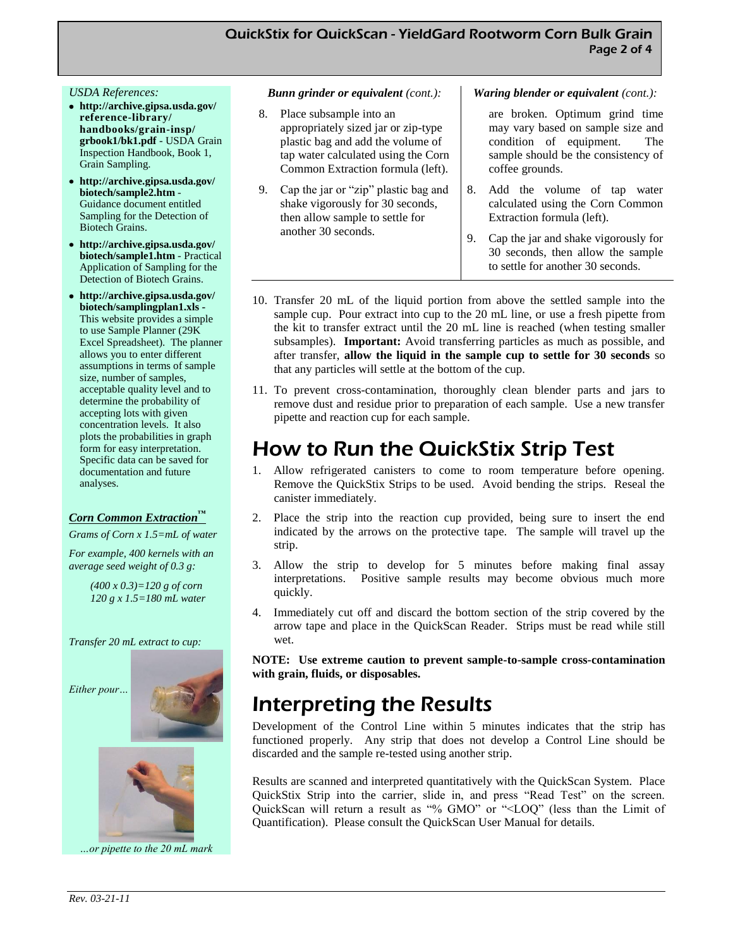#### *USDA References:*

- **http://archive.gipsa.usda.gov/ reference-library/ handbooks/grain-insp/ grbook1/bk1.pdf** - USDA Grain Inspection Handbook, Book 1, Grain Sampling.
- **http://archive.gipsa.usda.gov/ biotech/sample2.htm** - Guidance document entitled Sampling for the Detection of Biotech Grains.
- **http://archive.gipsa.usda.gov/ biotech/sample1.htm** - Practical Application of Sampling for the Detection of Biotech Grains.
- **http://archive.gipsa.usda.gov/ biotech/samplingplan1.xls -** This website provides a simple to use Sample Planner (29K Excel Spreadsheet). The planner allows you to enter different assumptions in terms of sample size, number of samples, acceptable quality level and to determine the probability of accepting lots with given concentration levels. It also plots the probabilities in graph form for easy interpretation. Specific data can be saved for documentation and future analyses.

#### *Corn Common Extraction™*

*Grams of Corn x 1.5=mL of water*

*For example, 400 kernels with an average seed weight of 0.3 g:*

> *(400 x 0.3)=120 g of corn 120 g x 1.5=180 mL water*

*Transfer 20 mL extract to cup:* 





*…or pipette to the 20 mL mark* 

#### *Bunn grinder or equivalent (cont.):*

- 8. Place subsample into an appropriately sized jar or zip-type plastic bag and add the volume of tap water calculated using the Corn Common Extraction formula (left).
- 9. Cap the jar or "zip" plastic bag and shake vigorously for 30 seconds, then allow sample to settle for another 30 seconds.

#### *Waring blender or equivalent (cont.):*

are broken. Optimum grind time may vary based on sample size and condition of equipment. The sample should be the consistency of coffee grounds.

- 8. Add the volume of tap water calculated using the Corn Common Extraction formula (left).
- 9. Cap the jar and shake vigorously for 30 seconds, then allow the sample to settle for another 30 seconds.
- 10. Transfer 20 mL of the liquid portion from above the settled sample into the sample cup. Pour extract into cup to the 20 mL line, or use a fresh pipette from the kit to transfer extract until the 20 mL line is reached (when testing smaller subsamples). **Important:** Avoid transferring particles as much as possible, and after transfer, **allow the liquid in the sample cup to settle for 30 seconds** so that any particles will settle at the bottom of the cup.
- 11. To prevent cross-contamination, thoroughly clean blender parts and jars to remove dust and residue prior to preparation of each sample. Use a new transfer pipette and reaction cup for each sample.

### How to Run the QuickStix Strip Test

- 1. Allow refrigerated canisters to come to room temperature before opening. Remove the QuickStix Strips to be used. Avoid bending the strips. Reseal the canister immediately.
- 2. Place the strip into the reaction cup provided, being sure to insert the end indicated by the arrows on the protective tape. The sample will travel up the strip.
- 3. Allow the strip to develop for 5 minutes before making final assay interpretations. Positive sample results may become obvious much more quickly.
- 4. Immediately cut off and discard the bottom section of the strip covered by the arrow tape and place in the QuickScan Reader. Strips must be read while still wet.

**NOTE: Use extreme caution to prevent sample-to-sample cross-contamination with grain, fluids, or disposables.**

### Interpreting the Results

Development of the Control Line within 5 minutes indicates that the strip has functioned properly. Any strip that does not develop a Control Line should be discarded and the sample re-tested using another strip.

Results are scanned and interpreted quantitatively with the QuickScan System. Place QuickStix Strip into the carrier, slide in, and press "Read Test" on the screen. QuickScan will return a result as "% GMO" or "<LOQ" (less than the Limit of Quantification). Please consult the QuickScan User Manual for details.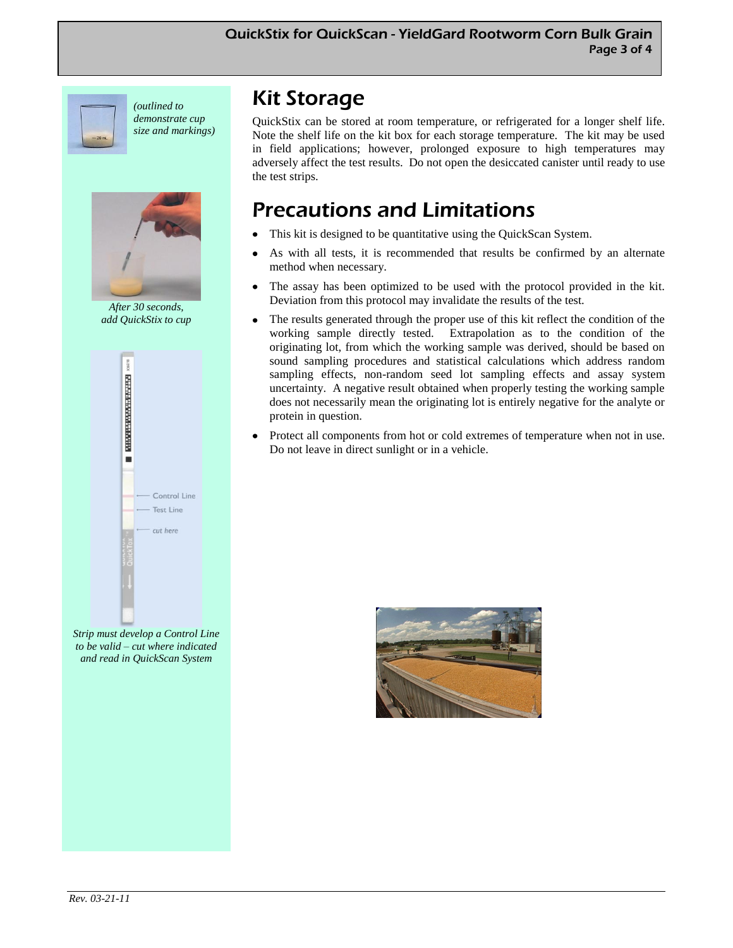

*(outlined to demonstrate cup size and markings)*



*After 30 seconds, add QuickStix to cup*



*Strip must develop a Control Line to be valid – cut where indicated and read in QuickScan System* 

# Kit Storage

QuickStix can be stored at room temperature, or refrigerated for a longer shelf life. Note the shelf life on the kit box for each storage temperature. The kit may be used in field applications; however, prolonged exposure to high temperatures may adversely affect the test results. Do not open the desiccated canister until ready to use the test strips.

# Precautions and Limitations

- This kit is designed to be quantitative using the QuickScan System.
- As with all tests, it is recommended that results be confirmed by an alternate method when necessary.
- The assay has been optimized to be used with the protocol provided in the kit. Deviation from this protocol may invalidate the results of the test.
- The results generated through the proper use of this kit reflect the condition of the working sample directly tested. Extrapolation as to the condition of the originating lot, from which the working sample was derived, should be based on sound sampling procedures and statistical calculations which address random sampling effects, non-random seed lot sampling effects and assay system uncertainty. A negative result obtained when properly testing the working sample does not necessarily mean the originating lot is entirely negative for the analyte or protein in question.
- Protect all components from hot or cold extremes of temperature when not in use. Do not leave in direct sunlight or in a vehicle.